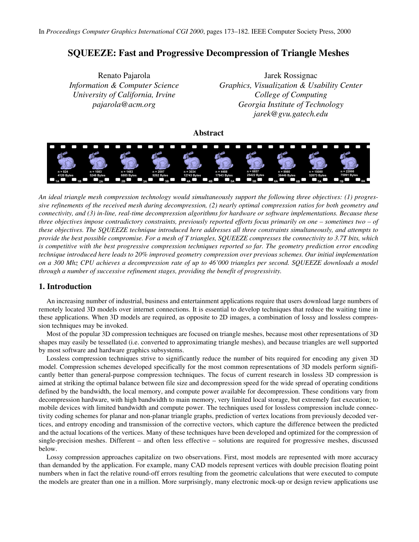# **SQUEEZE: Fast and Progressive Decompression of Triangle Meshes**

Renato Pajarola Jarek Rossignac *Information & Computer Science Graphics, Visualization & Usability Center University of California, Irvine* College of Computing *pajarola@acm.org Georgia Institute of Technology jarek@gvu.gatech.edu*

**Abstract**



*An ideal triangle mesh compression technology would simultaneously support the following three objectives: (1) progressive refinements of the received mesh during decompression, (2) nearly optimal compression ratios for both geometry and connectivity, and (3) in-line, real-time decompression algorithms for hardware or software implementations. Because these three objectives impose contradictory constraints, previously reported efforts focus primarily on one – sometimes two – of these objectives. The SQUEEZE technique introduced here addresses all three constraints simultaneously, and attempts to provide the best possible compromise. For a mesh of T triangles, SQUEEZE compresses the connectivity to 3.7T bits, which is competitive with the best progressive compression techniques reported so far. The geometry prediction error encoding technique introduced here leads to 20% improved geometry compression over previous schemes. Our initial implementation on a 300 Mhz CPU achieves a decompression rate of up to 46'000 triangles per second. SQUEEZE downloads a model through a number of successive refinement stages, providing the benefit of progressivity.*

## **1. Introduction**

An increasing number of industrial, business and entertainment applications require that users download large numbers of remotely located 3D models over internet connections. It is essential to develop techniques that reduce the waiting time in these applications. When 3D models are required, as opposite to 2D images, a combination of lossy and lossless compression techniques may be invoked.

Most of the popular 3D compression techniques are focused on triangle meshes, because most other representations of 3D shapes may easily be tessellated (i.e. converted to approximating triangle meshes), and because triangles are well supported by most software and hardware graphics subsystems.

Lossless compression techniques strive to significantly reduce the number of bits required for encoding any given 3D model. Compression schemes developed specifically for the most common representations of 3D models perform significantly better than general-purpose compression techniques. The focus of current research in lossless 3D compression is aimed at striking the optimal balance between file size and decompression speed for the wide spread of operating conditions defined by the bandwidth, the local memory, and compute power available for decompression. These conditions vary from decompression hardware, with high bandwidth to main memory, very limited local storage, but extremely fast execution; to mobile devices with limited bandwidth and compute power. The techniques used for lossless compression include connectivity coding schemes for planar and non-planar triangle graphs, prediction of vertex locations from previously decoded vertices, and entropy encoding and transmission of the corrective vectors, which capture the difference between the predicted and the actual locations of the vertices. Many of these techniques have been developed and optimized for the compression of single-precision meshes. Different – and often less effective – solutions are required for progressive meshes, discussed below.

Lossy compression approaches capitalize on two observations. First, most models are represented with more accuracy than demanded by the application. For example, many CAD models represent vertices with double precision floating point numbers when in fact the relative round-off errors resulting from the geometric calculations that were executed to compute the models are greater than one in a million. More surprisingly, many electronic mock-up or design review applications use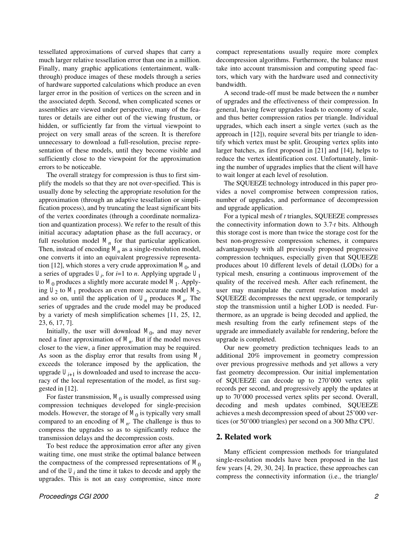tessellated approximations of curved shapes that carry a much larger relative tessellation error than one in a million. Finally, many graphic applications (entertainment, walkthrough) produce images of these models through a series of hardware supported calculations which produce an even larger error in the position of vertices on the screen and in the associated depth. Second, when complicated scenes or assemblies are viewed under perspective, many of the features or details are either out of the viewing frustum, or hidden, or sufficiently far from the virtual viewpoint to project on very small areas of the screen. It is therefore unnecessary to download a full-resolution, precise representation of these models, until they become visible and sufficiently close to the viewpoint for the approximation errors to be noticeable.

The overall strategy for compression is thus to first simplify the models so that they are not over-specified. This is usually done by selecting the appropriate resolution for the approximation (through an adaptive tessellation or simplification process), and by truncating the least significant bits of the vertex coordinates (through a coordinate normalization and quantization process). We refer to the result of this initial accuracy adaptation phase as the full accuracy, or full resolution model  $M<sub>n</sub>$  for that particular application. Then, instead of encoding *Mn* as a single-resolution model, one converts it into an equivalent progressive representation [12], which stores a very crude approximation  $M_0$ , and a series of upgrades *U<sup>i</sup>* , for *i*=1 to *n*. Applying upgrade *U*<sup>1</sup> to  $M_0$  produces a slightly more accurate model  $M_1$ . Applying  $U_2$  to  $M_1$  produces an even more accurate model  $M_2$ , and so on, until the application of  $U_n$  produces  $M_n$ . The series of upgrades and the crude model may be produced by a variety of mesh simplification schemes [11, 25, 12, 23, 6, 17, 7].

Initially, the user will download  $M_0$ , and may never need a finer approximation of *Mn*. But if the model moves closer to the view, a finer approximation may be required. As soon as the display error that results from using *M<sup>i</sup>* exceeds the tolerance imposed by the application, the upgrade  $U_{i+1}$  is downloaded and used to increase the accuracy of the local representation of the model, as first suggested in [12].

For faster transmission,  $M_0$  is usually compressed using compression techniques developed for single-precision models. However, the storage of  $M_0$  is typically very small compared to an encoding of  $M<sub>n</sub>$ . The challenge is thus to compress the upgrades so as to significantly reduce the transmission delays and the decompression costs.

To best reduce the approximation error after any given waiting time, one must strike the optimal balance between the compactness of the compressed representations of  $M_0$ and of the  $U_i$  and the time it takes to decode and apply the upgrades. This is not an easy compromise, since more

compact representations usually require more complex decompression algorithms. Furthermore, the balance must take into account transmission and computing speed factors, which vary with the hardware used and connectivity bandwidth.

A second trade-off must be made between the *n* number of upgrades and the effectiveness of their compression. In general, having fewer upgrades leads to economy of scale, and thus better compression ratios per triangle. Individual upgrades, which each insert a single vertex (such as the approach in [12]), require several bits per triangle to identify which vertex must be split. Grouping vertex splits into larger batches, as first proposed in [21] and [14], helps to reduce the vertex identification cost. Unfortunately, limiting the number of upgrades implies that the client will have to wait longer at each level of resolution.

The SQUEEZE technology introduced in this paper provides a novel compromise between compression ratios, number of upgrades, and performance of decompression and upgrade application.

For a typical mesh of *t* triangles, SQUEEZE compresses the connectivity information down to 3.7*·t* bits. Although this storage cost is more than twice the storage cost for the best non-progressive compression schemes, it compares advantageously with all previously proposed progressive compression techniques, especially given that SQUEEZE produces about 10 different levels of detail (LODs) for a typical mesh, ensuring a continuous improvement of the quality of the received mesh. After each refinement, the user may manipulate the current resolution model as SQUEEZE decompresses the next upgrade, or temporarily stop the transmission until a higher LOD is needed. Furthermore, as an upgrade is being decoded and applied, the mesh resulting from the early refinement steps of the upgrade are immediately available for rendering, before the upgrade is completed.

Our new geometry prediction techniques leads to an additional 20% improvement in geometry compression over previous progressive methods and yet allows a very fast geometry decompression. Our initial implementation of SQUEEZE can decode up to 270'000 vertex split records per second, and progressively apply the updates at up to 70'000 processed vertex splits per second. Overall, decoding and mesh updates combined, SQUEEZE achieves a mesh decompression speed of about 25'000 vertices (or 50'000 triangles) per second on a 300 Mhz CPU.

#### **2. Related work**

Many efficient compression methods for triangulated single-resolution models have been proposed in the last few years [4, 29, 30, 24]. In practice, these approaches can compress the connectivity information (i.e., the triangle/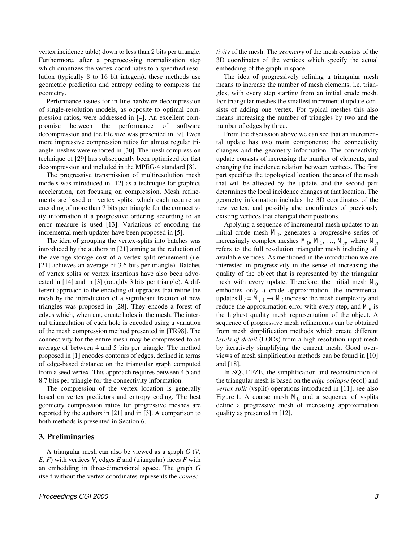vertex incidence table) down to less than 2 bits per triangle. Furthermore, after a preprocessing normalization step which quantizes the vertex coordinates to a specified resolution (typically 8 to 16 bit integers), these methods use geometric prediction and entropy coding to compress the geometry.

Performance issues for in-line hardware decompression of single-resolution models, as opposite to optimal compression ratios, were addressed in [4]. An excellent compromise between the performance of software decompression and the file size was presented in [9]. Even more impressive compression ratios for almost regular triangle meshes were reported in [30]. The mesh compression technique of [29] has subsequently been optimized for fast decompression and included in the MPEG-4 standard [8].

The progressive transmission of multiresolution mesh models was introduced in [12] as a technique for graphics acceleration, not focusing on compression. Mesh refinements are based on vertex splits, which each require an encoding of more than 7 bits per triangle for the connectivity information if a progressive ordering according to an error measure is used [13]. Variations of encoding the incremental mesh updates have been proposed in [5].

The idea of grouping the vertex-splits into batches was introduced by the authors in [21] aiming at the reduction of the average storage cost of a vertex split refinement (i.e. [21] achieves an average of 3.6 bits per triangle). Batches of vertex splits or vertex insertions have also been advocated in [14] and in [3] (roughly 3 bits per triangle). A different approach to the encoding of upgrades that refine the mesh by the introduction of a significant fraction of new triangles was proposed in [28]. They encode a forest of edges which, when cut, create holes in the mesh. The internal triangulation of each hole is encoded using a variation of the mesh compression method presented in [TR98]. The connectivity for the entire mesh may be compressed to an average of between 4 and 5 bits per triangle. The method proposed in [1] encodes contours of edges, defined in terms of edge-based distance on the triangular graph computed from a seed vertex. This approach requires between 4.5 and 8.7 bits per triangle for the connectivity information.

The compression of the vertex location is generally based on vertex predictors and entropy coding. The best geometry compression ratios for progressive meshes are reported by the authors in [21] and in [3]. A comparison to both methods is presented in Section 6.

## **3. Preliminaries**

A triangular mesh can also be viewed as a graph *G* (*V*, *E*, *F*) with vertices *V*, edges *E* and (triangular) faces *F* with an embedding in three-dimensional space. The graph *G* itself without the vertex coordinates represents the *connec-*

The idea of progressively refining a triangular mesh means to increase the number of mesh elements, i.e. triangles, with every step starting from an initial crude mesh. For triangular meshes the smallest incremental update consists of adding one vertex. For typical meshes this also means increasing the number of triangles by two and the number of edges by three.

From the discussion above we can see that an incremental update has two main components: the connectivity changes and the geometry information. The connectivity update consists of increasing the number of elements, and changing the incidence relation between vertices. The first part specifies the topological location, the area of the mesh that will be affected by the update, and the second part determines the local incidence changes at that location. The geometry information includes the 3D coordinates of the new vertex, and possibly also coordinates of previously existing vertices that changed their positions.

Applying a sequence of incremental mesh updates to an initial crude mesh  $M_0$ , generates a progressive series of increasingly complex meshes  $M_0$ ,  $M_1$ , ...,  $M_n$ , where  $M_n$ refers to the full resolution triangular mesh including all available vertices. As mentioned in the introduction we are interested in progressivity in the sense of increasing the quality of the object that is represented by the triangular mesh with every update. Therefore, the initial mesh  $M_0$ embodies only a crude approximation, the incremental updates  $U_i = M_{i-1} \rightarrow M_i$  increase the mesh complexity and reduce the approximation error with every step, and *Mn* is the highest quality mesh representation of the object. A sequence of progressive mesh refinements can be obtained from mesh simplification methods which create different *levels of detail* (LODs) from a high resolution input mesh by iteratively simplifying the current mesh. Good overviews of mesh simplification methods can be found in [10] and [18].

In SQUEEZE, the simplification and reconstruction of the triangular mesh is based on the *edge collapse* (ecol) and *vertex split* (vsplit) operations introduced in [11], see also Figure 1. A coarse mesh  $M_0$  and a sequence of vsplits define a progressive mesh of increasing approximation quality as presented in [12].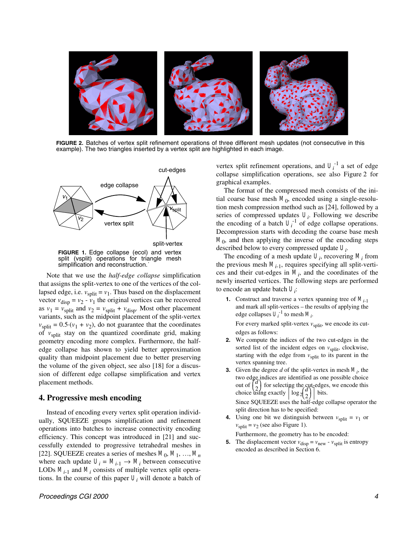

**FIGURE 2.** Batches of vertex split refinement operations of three different mesh updates (not consecutive in this example). The two triangles inserted by a vertex split are highlighted in each image.



**FIGURE 1.** Edge collapse (ecol) and vertex split (vsplit) operations for triangle mesh simplification and reconstruction.

Note that we use the *half-edge collapse* simplification that assigns the split-vertex to one of the vertices of the collapsed edge, i.e.  $v_{split} = v_1$ . Thus based on the displacement vector  $v_{\text{disp}} = v_2 - v_1$  the original vertices can be recovered as  $v_1 = v_{split}$  and  $v_2 = v_{split} + v_{disp}$ . Most other placement variants, such as the midpoint placement of the split-vertex  $v_{\text{split}} = 0.5 \cdot (v_1 + v_2)$ , do not guarantee that the coordinates of  $v_{\text{split}}$  stay on the quantized coordinate grid, making geometry encoding more complex. Furthermore, the halfedge collapse has shown to yield better approximation quality than midpoint placement due to better preserving the volume of the given object, see also [18] for a discussion of different edge collapse simplification and vertex placement methods.

#### **4. Progressive mesh encoding**

Instead of encoding every vertex split operation individually, SQUEEZE groups simplification and refinement operations into batches to increase connectivity encoding efficiency. This concept was introduced in [21] and successfully extended to progressive tetrahedral meshes in [22]. SQUEEZE creates a series of meshes  $M_0, M_1, ..., M_n$ where each update  $U_i = M_{i-1} \rightarrow M_i$  between consecutive LODs  $M_{i-1}$  and  $M_i$  consists of multiple vertex split operations. In the course of this paper  $U_i$  will denote a batch of

#### *Proceedings CGI 2000 4*

vertex split refinement operations, and  $U_i^{-1}$  a set of edge collapse simplification operations, see also Figure 2 for graphical examples.

The format of the compressed mesh consists of the initial coarse base mesh  $M_0$ , encoded using a single-resolution mesh compression method such as [24], followed by a series of compressed updates  $U_i$ . Following we describe the encoding of a batch  $U_i^{-1}$  of edge collapse operations. Decompression starts with decoding the coarse base mesh  $M<sub>0</sub>$ , and then applying the inverse of the encoding steps described below to every compressed update *U<sup>i</sup>* .

The encoding of a mesh update  $U_i$ , recovering  $M_i$  from the previous mesh  $M_{i-1}$ , requires specifying all split-vertices and their cut-edges in  $M_i$ , and the coordinates of the newly inserted vertices. The following steps are performed to encode an update batch *U<sup>i</sup>* :

**1.** Construct and traverse a vertex spanning tree of  $M_{i-1}$ and mark all split-vertices – the results of applying the edge collapses  $U_i^{-1}$  to mesh  $M_i$ .

For every marked split-vertex  $v_{\text{split}}$ , we encode its cutedges as follows:

- **2.** We compute the indices of the two cut-edges in the sorted list of the incident edges on  $v_{\text{split}}$ , clockwise, starting with the edge from  $v_{split}$  to its parent in the vertex spanning tree.
- **3.** Given the degree  $d$  of the split-vertex in mesh  $M_i$ , the two edge indices are identified as one possible choice out of  $\binom{a}{2}$  for selecting the cut-edges, we encode this choice using exactly  $|\log_2 \frac{u}{2}|$  bits. *d*  $\binom{d}{2}$ *d*  $\log_2\left(\frac{d}{2}\right)$

Since SQUEEZE uses the half-edge collapse operator the split direction has to be specified:

- **4.** Using one bit we distinguish between  $v_{split} = v_1$  or  $v_{split} = v_2$  (see also Figure 1). Furthermore, the geometry has to be encoded:
- **5.** The displacement vector  $v_{\text{disp}} = v_{\text{new}} v_{\text{split}}$  is entropy encoded as described in Section 6.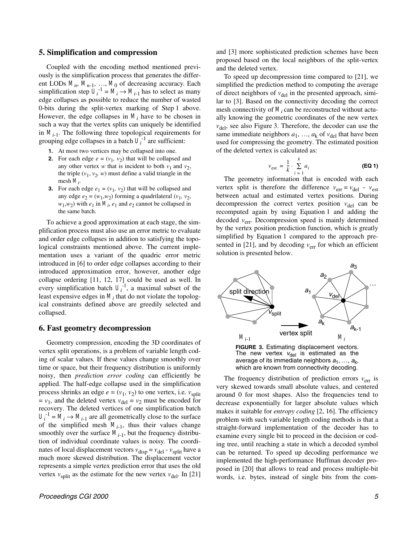#### **5. Simplification and compression**

Coupled with the encoding method mentioned previously is the simplification process that generates the different LODs  $M_n$ ,  $M_{n-1}$ , ...,  $M_0$  of decreasing accuracy. Each simplification step  $U_i^{-1} = M_i \rightarrow M_{i-1}$  has to select as many edge collapses as possible to reduce the number of wasted 0-bits during the split-vertex marking of Step 1 above. However, the edge collapses in  $M_i$  have to be chosen in such a way that the vertex splits can uniquely be identified in  $M_{i-1}$ . The following three topological requirements for grouping edge collapses in a batch  $U_i^{-1}$  are sufficient:

- **1.** At most two vertices may be collapsed into one.
- **2.** For each edge  $e = (v_1, v_2)$  that will be collapsed and any other vertex *w* that is incident to both  $v_1$  and  $v_2$ , the triple  $(v_1, v_2, w)$  must define a valid triangle in the mesh *M<sup>i</sup>* .
- **3.** For each edge  $e_1 = (v_1, v_2)$  that will be collapsed and any edge  $e_2 = (w_1, w_2)$  forming a quadrilateral  $(v_1, v_2,$  $w_1, w_2$ ) with  $e_1$  in  $M_i$ ,  $e_1$  and  $e_2$  cannot be collapsed in the same batch.

To achieve a good approximation at each stage, the simplification process must also use an error metric to evaluate and order edge collapses in addition to satisfying the topological constraints mentioned above. The current implementation uses a variant of the quadric error metric introduced in [6] to order edge collapses according to their introduced approximation error, however, another edge collapse ordering [11, 12, 17] could be used as well. In every simplification batch  $U_i^{-1}$ , a maximal subset of the least expensive edges in  $M_i$  that do not violate the topological constraints defined above are greedily selected and collapsed.

#### **6. Fast geometry decompression**

Geometry compression, encoding the 3D coordinates of vertex split operations, is a problem of variable length coding of scalar values. If these values change smoothly over time or space, but their frequency distribution is uniformly noisy, then *prediction error coding* can efficiently be applied. The half-edge collapse used in the simplification process shrinks an edge  $e = (v_1, v_2)$  to one vertex, i.e.  $v_{split}$  $= v_1$ , and the deleted vertex  $v_{\text{del}} = v_2$  must be encoded for recovery. The deleted vertices of one simplification batch  $U_i^{-1} = M_i \rightarrow M_{i-1}$  are all geometrically close to the surface of the simplified mesh  $M_{i-1}$ , thus their values change smoothly over the surface  $M_{i-1}$ , but the frequency distribution of individual coordinate values is noisy. The coordinates of local displacement vectors  $v_{\text{disp}} = v_{\text{del}} - v_{\text{split}}$  have a much more skewed distribution. The displacement vector represents a simple vertex prediction error that uses the old vertex  $v_{split}$  as the estimate for the new vertex  $v_{del}$ . In [21] and [3] more sophisticated prediction schemes have been proposed based on the local neighbors of the split-vertex and the deleted vertex.

To speed up decompression time compared to [21], we simplified the prediction method to computing the average of direct neighbors of  $v_{\text{del}}$  in the presented approach, similar to [3]. Based on the connectivity decoding the correct mesh connectivity of  $M_i$  can be reconstructed without actually knowing the geometric coordinates of the new vertex  $v_{\text{del}}$ , see also Figure 3. Therefore, the decoder can use the same immediate neighbors  $a_1$ , ...,  $a_k$  of  $v_{del}$  that have been used for compressing the geometry. The estimated position of the deleted vertex is calculated as:

$$
v_{\text{est}} = \frac{1}{k} \cdot \sum_{i=1}^{k} a_i
$$
 (Eq 1)

The geometry information that is encoded with each vertex split is therefore the difference  $v_{\text{err}} = v_{\text{del}} - v_{\text{est}}$ between actual and estimated vertex positions. During decompression the correct vertex position  $v_{\text{del}}$  can be recomputed again by using Equation 1 and adding the decoded *v*err. Decompression speed is mainly determined by the vertex position prediction function, which is greatly simplified by Equation 1 compared to the approach presented in [21], and by decoding  $v_{\text{err}}$  for which an efficient solution is presented below.



**FIGURE 3.** Estimating displacement vectors. The new vertex  $v_{\text{del}}$  is estimated as the average of its immediate neighbors  $a_1, ..., a_k$ , which are known from connectivity decoding.

The frequency distribution of prediction errors  $v_{\text{err}}$  is very skewed towards small absolute values, and centered around 0 for most shapes. Also the frequencies tend to decrease exponentially for larger absolute values which makes it suitable for *entropy coding* [2, 16]. The efficiency problem with such variable length coding methods is that a straight-forward implementation of the decoder has to examine every single bit to proceed in the decision or coding tree, until reaching a state in which a decoded symbol can be returned. To speed up decoding performance we implemented the high-performance Huffman decoder proposed in [20] that allows to read and process multiple-bit words, i.e. bytes, instead of single bits from the com-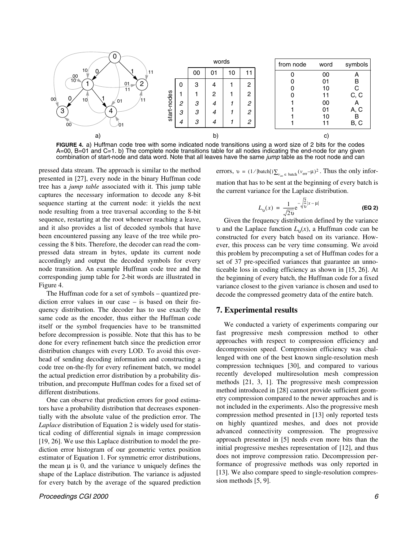

**FIGURE 4.** a) Huffman code tree with some indicated node transitions using a word size of 2 bits for the codes A=00, B=01 and C=1. b) The complete node transitions table for all nodes indicating the end-node for any given combination of start-node and data word. Note that all leaves have the same *jump* table as the root node and can

pressed data stream. The approach is similar to the method presented in [27], every node in the binary Huffman code tree has a *jump table* associated with it. This jump table captures the necessary information to decode any 8-bit sequence starting at the current node: it yields the next node resulting from a tree traversal according to the 8-bit sequence, restarting at the root whenever reaching a leave, and it also provides a list of decoded symbols that have been encountered passing any leave of the tree while processing the 8 bits. Therefore, the decoder can read the compressed data stream in bytes, update its current node accordingly and output the decoded symbols for every node transition. An example Huffman code tree and the corresponding jump table for 2-bit words are illustrated in Figure 4.

The Huffman code for a set of symbols – quantized prediction error values in our case – is based on their frequency distribution. The decoder has to use exactly the same code as the encoder, thus either the Huffman code itself or the symbol frequencies have to be transmitted before decompression is possible. Note that this has to be done for every refinement batch since the prediction error distribution changes with every LOD. To avoid this overhead of sending decoding information and constructing a code tree on-the-fly for every refinement batch, we model the actual prediction error distribution by a probability distribution, and precompute Huffman codes for a fixed set of different distributions.

One can observe that prediction errors for good estimators have a probability distribution that decreases exponentially with the absolute value of the prediction error. The *Laplace* distribution of Equation 2 is widely used for statistical coding of differential signals in image compression [19, 26]. We use this Laplace distribution to model the prediction error histogram of our geometric vertex position estimator of Equation 1. For symmetric error distributions, the mean  $\mu$  is 0, and the variance v uniquely defines the shape of the Laplace distribution. The variance is adjusted for every batch by the average of the squared prediction

errors,  $v = (1/|\text{batch}|)\sum_{v_{\text{cr}} \in \text{batch}}(v_{\text{err}} - \mu)^2$ . Thus the only information that has to be sent at the beginning of every batch is the current variance for the Laplace distribution.

$$
L_{v}(x) = \frac{1}{\sqrt{2v}} e^{-\sqrt{\frac{2}{v}}|x - \mu|}
$$
 (Eq 2)

Given the frequency distribution defined by the variance υ and the Laplace function  $L$ <sup>1</sup> $(x)$ , a Huffman code can be constructed for every batch based on its variance. However, this process can be very time consuming. We avoid this problem by precomputing a set of Huffman codes for a set of 37 pre-specified variances that guarantee an unnoticeable loss in coding efficiency as shown in [15, 26]. At the beginning of every batch, the Huffman code for a fixed variance closest to the given variance is chosen and used to decode the compressed geometry data of the entire batch.

### **7. Experimental results**

We conducted a variety of experiments comparing our fast progressive mesh compression method to other approaches with respect to compression efficiency and decompression speed. Compression efficiency was challenged with one of the best known single-resolution mesh compression techniques [30], and compared to various recently developed multiresolution mesh compression methods [21, 3, 1]. The progressive mesh compression method introduced in [28] cannot provide sufficient geometry compression compared to the newer approaches and is not included in the experiments. Also the progressive mesh compression method presented in [13] only reported tests on highly quantized meshes, and does not provide advanced connectivity compression. The progressive approach presented in [5] needs even more bits than the initial progressive meshes representation of [12], and thus does not improve compression ratio. Decompression performance of progressive methods was only reported in [13]. We also compare speed to single-resolution compression methods [5, 9].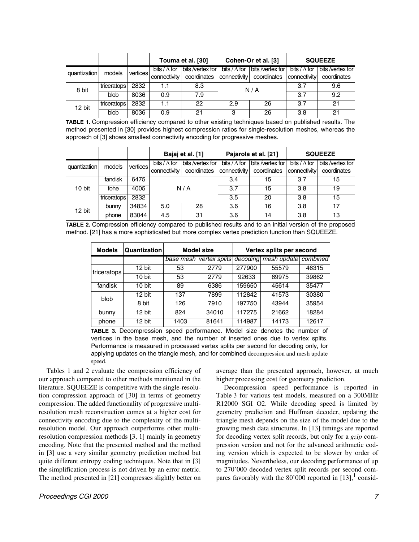|              |             |          | Touma et al. [30]                   |                                 |                                     | Cohen-Or et al. [3]             | <b>SQUEEZE</b>                      |                                   |  |
|--------------|-------------|----------|-------------------------------------|---------------------------------|-------------------------------------|---------------------------------|-------------------------------------|-----------------------------------|--|
| quantization | models      | vertices | bits / $\Delta$ for<br>connectivity | bits /vertex for<br>coordinates | bits / $\wedge$ for<br>connectivity | bits /vertex for<br>coordinates | bits / $\Delta$ for<br>connectivity | bits /vertex for  <br>coordinates |  |
| 8 bit        | triceratops | 2832     |                                     | 8.3                             | N/A                                 |                                 | 3.7                                 | 9.6                               |  |
|              | blob        | 8036     | 0.9                                 | 7.9                             |                                     |                                 | 3.7                                 | 9.2                               |  |
| 12 bit       | triceratops | 2832     | 1.1                                 | 22                              | 2.9                                 | 26                              | 3.7                                 | 21                                |  |
|              | blob        | 8036     | 0.9                                 | 21                              | з                                   | 26                              | 3.8                                 | 21                                |  |

**TABLE 1.** Compression efficiency compared to other existing techniques based on published results. The method presented in [30] provides highest compression ratios for single-resolution meshes, whereas the approach of [3] shows smallest connectivity encoding for progressive meshes.

|              |             |          | Bajaj et al. [1]                    |                                 |                                     | Pajarola et al. [21]            | <b>SQUEEZE</b>                      |                                 |  |
|--------------|-------------|----------|-------------------------------------|---------------------------------|-------------------------------------|---------------------------------|-------------------------------------|---------------------------------|--|
| quantization | models      | vertices | bits / $\Delta$ for<br>connectivity | bits /vertex for<br>coordinates | bits / $\Delta$ for<br>connectivity | bits /vertex for<br>coordinates | bits / $\Delta$ for<br>connectivity | bits /vertex for<br>coordinates |  |
|              | fandisk     | 6475     |                                     |                                 | 3.4                                 | 15                              | 3.7                                 | 15                              |  |
| 10 bit       | fohe        | 4005     |                                     | N/A                             | 3.7                                 | 15                              | 3.8                                 | 19                              |  |
|              | triceratops | 2832     |                                     |                                 | 3.5                                 | 20                              | 3.8                                 | 15                              |  |
| 12 bit       | bunny       | 34834    | 5.0                                 | 28                              | 3.6                                 | 16                              | 3.8                                 | 17                              |  |
|              | phone       | 83044    | 4.5                                 | 31                              | 3.6                                 | 14                              | 3.8                                 | 13                              |  |

| <b>TABLE 2.</b> Compression efficiency compared to published results and to an initial version of the proposed |  |  |  |  |  |
|----------------------------------------------------------------------------------------------------------------|--|--|--|--|--|
| method. [21] has a more sophisticated but more complex vertex prediction function than SQUEEZE.                |  |  |  |  |  |

| <b>Models</b> | Quantization |           | <b>Model size</b> | Vertex splits per second |             |          |  |
|---------------|--------------|-----------|-------------------|--------------------------|-------------|----------|--|
|               |              | base mesh | vertex splits     | decoding                 | mesh update | combined |  |
| triceratops   | 12 bit       | 53        | 2779              | 277900                   | 55579       | 46315    |  |
|               | 10 bit       | 53        | 2779              | 92633                    | 69975       | 39862    |  |
| fandisk       | 10 bit       | 89        | 6386              | 159650                   | 45614       | 35477    |  |
| blob          | 12 bit       | 137       | 7899              | 112842                   | 41573       | 30380    |  |
|               | 8 bit        | 126       | 7910              | 197750                   | 43944       | 35954    |  |
| bunny         | 12 bit       | 824       | 34010             | 117275                   | 21662       | 18284    |  |
| phone         | 12 bit       | 1403      | 81641             | 114987                   | 14173       | 12617    |  |

**TABLE 3.** Decompression speed performance. Model size denotes the number of vertices in the base mesh, and the number of inserted ones due to vertex splits. Performance is measured in processed vertex splits per second for decoding only, for applying updates on the triangle mesh, and for combined decompression and mesh update speed.

Tables 1 and 2 evaluate the compression efficiency of our approach compared to other methods mentioned in the literature. SQUEEZE is competitive with the single-resolution compression approach of [30] in terms of geometry compression. The added functionality of progressive multiresolution mesh reconstruction comes at a higher cost for connectivity encoding due to the complexity of the multiresolution model. Our approach outperforms other multiresolution compression methods [3, 1] mainly in geometry encoding. Note that the presented method and the method in [3] use a very similar geometry prediction method but quite different entropy coding techniques. Note that in [3] the simplification process is not driven by an error metric. The method presented in [21] compresses slightly better on average than the presented approach, however, at much higher processing cost for geometry prediction.

Decompression speed performance is reported in Table 3 for various test models, measured on a 300MHz R12000 SGI O2. While decoding speed is limited by geometry prediction and Huffman decoder, updating the triangle mesh depends on the size of the model due to the growing mesh data structures. In [13] timings are reported for decoding vertex split records, but only for a *gzip* compression version and not for the advanced arithmetic coding version which is expected to be slower by order of magnitudes. Nevertheless, our decoding performance of up to 270'000 decoded vertex split records per second compares favorably with the 80'000 reported in  $[13]$ ,<sup>1</sup> consid-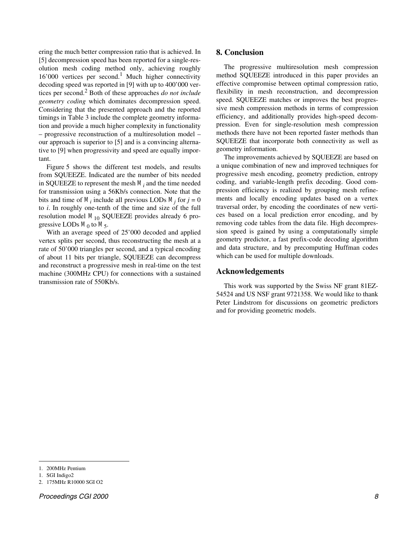ering the much better compression ratio that is achieved. In [5] decompression speed has been reported for a single-resolution mesh coding method only, achieving roughly  $16'000$  vertices per second.<sup>1</sup> Much higher connectivity decoding speed was reported in [9] with up to 400'000 vertices per second.2 Both of these approaches *do not include geometry coding* which dominates decompression speed. Considering that the presented approach and the reported timings in Table 3 include the complete geometry information and provide a much higher complexity in functionality – progressive reconstruction of a multiresolution model – our approach is superior to [5] and is a convincing alternative to [9] when progressivity and speed are equally important.

Figure 5 shows the different test models, and results from SQUEEZE. Indicated are the number of bits needed in SQUEEZE to represent the mesh  $M_i$  and the time needed for transmission using a 56Kb/s connection. Note that the bits and time of  $M_i$  include all previous LODs  $M_j$  for  $j = 0$ to *i*. In roughly one-tenth of the time and size of the full resolution model  $M_{10}$  SQUEEZE provides already 6 progressive LODs  $M_0$  to  $M_5$ .

With an average speed of 25'000 decoded and applied vertex splits per second, thus reconstructing the mesh at a rate of 50'000 triangles per second, and a typical encoding of about 11 bits per triangle, SQUEEZE can decompress and reconstruct a progressive mesh in real-time on the test machine (300MHz CPU) for connections with a sustained transmission rate of 550Kb/s.

## **8. Conclusion**

The progressive multiresolution mesh compression method SQUEEZE introduced in this paper provides an effective compromise between optimal compression ratio, flexibility in mesh reconstruction, and decompression speed. SQUEEZE matches or improves the best progressive mesh compression methods in terms of compression efficiency, and additionally provides high-speed decompression. Even for single-resolution mesh compression methods there have not been reported faster methods than SQUEEZE that incorporate both connectivity as well as geometry information.

The improvements achieved by SQUEEZE are based on a unique combination of new and improved techniques for progressive mesh encoding, geometry prediction, entropy coding, and variable-length prefix decoding. Good compression efficiency is realized by grouping mesh refinements and locally encoding updates based on a vertex traversal order, by encoding the coordinates of new vertices based on a local prediction error encoding, and by removing code tables from the data file. High decompression speed is gained by using a computationally simple geometry predictor, a fast prefix-code decoding algorithm and data structure, and by precomputing Huffman codes which can be used for multiple downloads.

#### **Acknowledgements**

This work was supported by the Swiss NF grant 81EZ-54524 and US NSF grant 9721358. We would like to thank Peter Lindstrom for discussions on geometric predictors and for providing geometric models.

<sup>1. 200</sup>MHz Pentium

<sup>1.</sup> SGI Indigo2

<sup>2. 175</sup>MHz R10000 SGI O2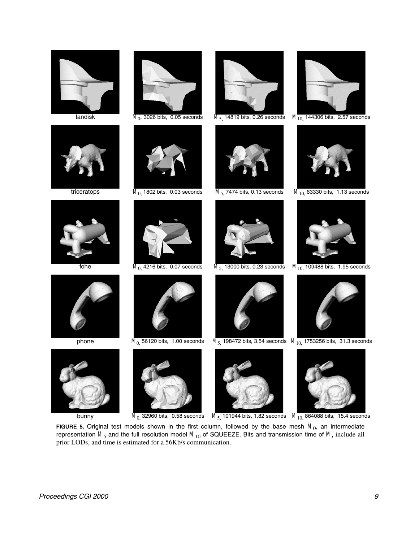

fandisk



triceratops



fohe





*M*0, 1802 bits, 0.03 seconds



*M*0, 4216 bits, 0.07 seconds



 $M_0$ , 3026 bits, 0.05 seconds  $M_5$ , 14819 bits, 0.26 seconds  $M_{10}$ , 144306 bits, 2.57 seconds



*M*5, 7474 bits, 0.13 seconds









 $M_{0}^{\vphantom{\dagger}}$  32960 bits,  $\,$  0.58 seconds  $\,$   $\,$   $M_{5,}^{\vphantom{\dagger}}$  101944 bits, 1.82 seconds  $\,$   $\,$   $M_{10,}^{\vphantom{\dagger}}$  864088 bits,  $\,$  15.4 seconds

**FIGURE 5.** Original test models shown in the first column, followed by the base mesh  $M_0$ , an intermediate representation  $M_5$  and the full resolution model  $M_{10}$  of SQUEEZE. Bits and transmission time of  $M_i$  include all prior LODs, and time is estimated for a 56Kb/s communication.



phone



bunny